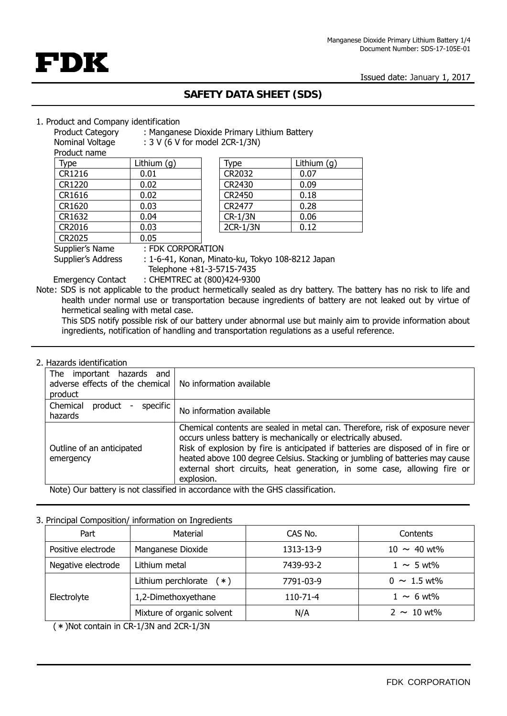Issued date: January 1, 2017



# **SAFETY DATA SHEET (SDS)**

#### 1. Product and Company identification

| Product Category | : Manganese Dioxide Primary Lithium Battery |  |
|------------------|---------------------------------------------|--|

Nominal Voltage : 3 V (6 V for model 2CR-1/3N)

Product name

| ------------ |             |          |             |
|--------------|-------------|----------|-------------|
| Type         | Lithium (g) | Type     | Lithium (g) |
| CR1216       | 0.01        | CR2032   | 0.07        |
| CR1220       | 0.02        | CR2430   | 0.09        |
| CR1616       | 0.02        | CR2450   | 0.18        |
| CR1620       | 0.03        | CR2477   | 0.28        |
| CR1632       | 0.04        | CR-1/3N  | 0.06        |
| CR2016       | 0.03        | 2CR-1/3N | 0.12        |
| CR2025       | 0.05        |          |             |
| .            |             |          |             |

| Type           | Lithium $(g)$ |
|----------------|---------------|
| CR2032         | 0.07          |
| CR2430         | 0.09          |
| CR2450         | 0.18          |
| CR2477         | 0.28          |
| <b>CR-1/3N</b> | 0.06          |
| 2CR-1/3N       | 0.12          |

Supplier's Name : FDK CORPORATION

Supplier's Address : 1-6-41, Konan, Minato-ku, Tokyo 108-8212 Japan

Telephone +81-3-5715-7435

Emergency Contact : CHEMTREC at (800)424-9300 Note: SDS is not applicable to the product hermetically sealed as dry battery. The battery has no risk to life and health under normal use or transportation because ingredients of battery are not leaked out by virtue of hermetical sealing with metal case.

This SDS notify possible risk of our battery under abnormal use but mainly aim to provide information about ingredients, notification of handling and transportation regulations as a useful reference.

### 2. Hazards identification

| important hazards<br>The<br>and<br>adverse effects of the chemical<br>product  | No information available                                                                                                                                                                                                                                                                                                                                                                                    |
|--------------------------------------------------------------------------------|-------------------------------------------------------------------------------------------------------------------------------------------------------------------------------------------------------------------------------------------------------------------------------------------------------------------------------------------------------------------------------------------------------------|
| specific<br>Chemical<br>product<br>hazards                                     | No information available                                                                                                                                                                                                                                                                                                                                                                                    |
| Outline of an anticipated<br>emergency                                         | Chemical contents are sealed in metal can. Therefore, risk of exposure never<br>occurs unless battery is mechanically or electrically abused.<br>Risk of explosion by fire is anticipated if batteries are disposed of in fire or<br>heated above 100 degree Celsius. Stacking or jumbling of batteries may cause<br>external short circuits, heat generation, in some case, allowing fire or<br>explosion. |
| Note) Our battery is not classified in accordance with the GHS classification. |                                                                                                                                                                                                                                                                                                                                                                                                             |

## 3. Principal Composition/ information on Ingredients

| Part               | Material                   | CAS No.        | Contents         |
|--------------------|----------------------------|----------------|------------------|
| Positive electrode | Manganese Dioxide          | 1313-13-9      | $10 \sim 40$ wt% |
| Negative electrode | Lithium metal              | 7439-93-2      | $1 \sim 5$ wt%   |
|                    | Lithium perchlorate $(*)$  | 7791-03-9      | $0 \sim 1.5$ wt% |
| Electrolyte        | 1,2-Dimethoxyethane        | $110 - 71 - 4$ | $1 \sim 6$ wt%   |
|                    | Mixture of organic solvent | N/A            | $2 \sim 10$ wt%  |

(\*)Not contain in CR-1/3N and 2CR-1/3N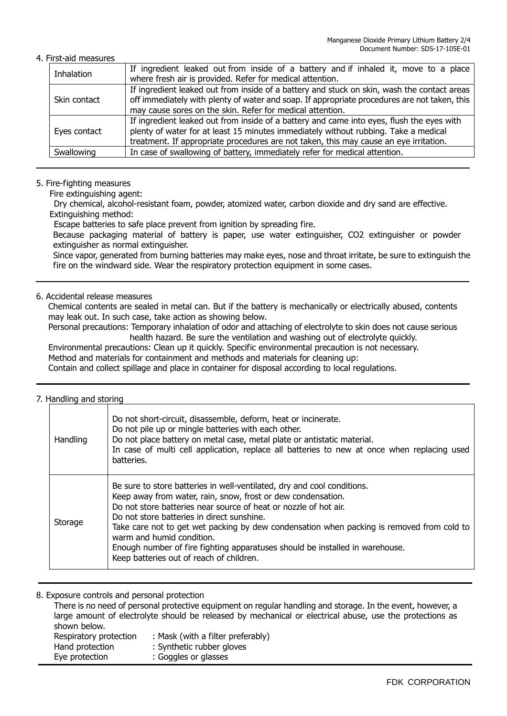#### 4. First-aid measures

| Inhalation   | If ingredient leaked out from inside of a battery and if inhaled it, move to a place<br>where fresh air is provided. Refer for medical attention. |
|--------------|---------------------------------------------------------------------------------------------------------------------------------------------------|
|              |                                                                                                                                                   |
| Skin contact | If ingredient leaked out from inside of a battery and stuck on skin, wash the contact areas                                                       |
|              | off immediately with plenty of water and soap. If appropriate procedures are not taken, this                                                      |
|              | may cause sores on the skin. Refer for medical attention.                                                                                         |
| Eyes contact | If ingredient leaked out from inside of a battery and came into eyes, flush the eyes with                                                         |
|              | plenty of water for at least 15 minutes immediately without rubbing. Take a medical                                                               |
|              | treatment. If appropriate procedures are not taken, this may cause an eye irritation.                                                             |
| Swallowing   | In case of swallowing of battery, immediately refer for medical attention.                                                                        |
|              |                                                                                                                                                   |

#### 5. Fire-fighting measures

Fire extinguishing agent:

Dry chemical, alcohol-resistant foam, powder, atomized water, carbon dioxide and dry sand are effective. Extinguishing method:

Escape batteries to safe place prevent from ignition by spreading fire.

Because packaging material of battery is paper, use water extinguisher, CO2 extinguisher or powder extinguisher as normal extinguisher.

Since vapor, generated from burning batteries may make eyes, nose and throat irritate, be sure to extinguish the fire on the windward side. Wear the respiratory protection equipment in some cases.

## 6. Accidental release measures

Chemical contents are sealed in metal can. But if the battery is mechanically or electrically abused, contents may leak out. In such case, take action as showing below.

Personal precautions: Temporary inhalation of odor and attaching of electrolyte to skin does not cause serious health hazard. Be sure the ventilation and washing out of electrolyte quickly.

Environmental precautions: Clean up it quickly. Specific environmental precaution is not necessary. Method and materials for containment and methods and materials for cleaning up: Contain and collect spillage and place in container for disposal according to local regulations.

#### 7. Handling and storing

| Handling | Do not short-circuit, disassemble, deform, heat or incinerate.<br>Do not pile up or mingle batteries with each other.<br>Do not place battery on metal case, metal plate or antistatic material.<br>In case of multi cell application, replace all batteries to new at once when replacing used<br>batteries.                                                                                                                                                                                                   |
|----------|-----------------------------------------------------------------------------------------------------------------------------------------------------------------------------------------------------------------------------------------------------------------------------------------------------------------------------------------------------------------------------------------------------------------------------------------------------------------------------------------------------------------|
| Storage  | Be sure to store batteries in well-ventilated, dry and cool conditions.<br>Keep away from water, rain, snow, frost or dew condensation.<br>Do not store batteries near source of heat or nozzle of hot air.<br>Do not store batteries in direct sunshine.<br>Take care not to get wet packing by dew condensation when packing is removed from cold to<br>warm and humid condition.<br>Enough number of fire fighting apparatuses should be installed in warehouse.<br>Keep batteries out of reach of children. |

8. Exposure controls and personal protection

There is no need of personal protective equipment on regular handling and storage. In the event, however, a large amount of electrolyte should be released by mechanical or electrical abuse, use the protections as shown below. Respiratory protection : Mask (with a filter preferably) Hand protection : Synthetic rubber gloves Eye protection : Goggles or glasses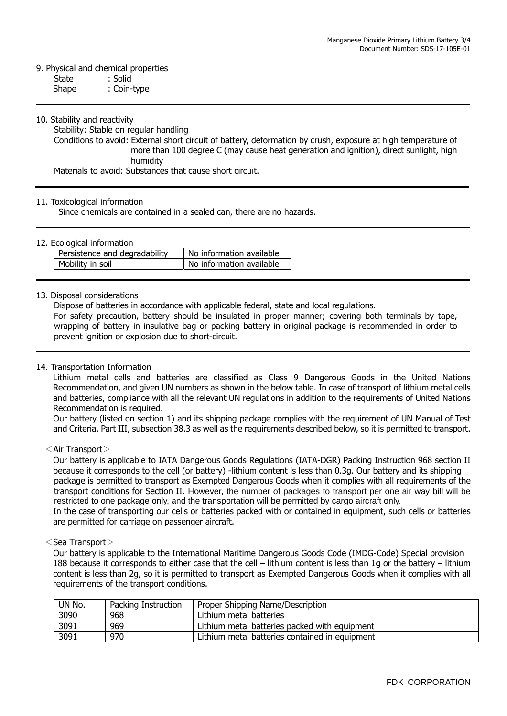## 9. Physical and chemical properties

State : Solid

Shape : Coin-type

#### 10. Stability and reactivity

Stability: Stable on regular handling

Conditions to avoid: External short circuit of battery, deformation by crush, exposure at high temperature of more than 100 degree C (may cause heat generation and ignition), direct sunlight, high humidity

Materials to avoid: Substances that cause short circuit.

#### 11. Toxicological information

Since chemicals are contained in a sealed can, there are no hazards.

#### 12. Ecological information

| Persistence and degradability | No information available |
|-------------------------------|--------------------------|
| Mobility in soil              | No information available |

#### 13. Disposal considerations

Dispose of batteries in accordance with applicable federal, state and local regulations.

For safety precaution, battery should be insulated in proper manner; covering both terminals by tape, wrapping of battery in insulative bag or packing battery in original package is recommended in order to prevent ignition or explosion due to short-circuit.

#### 14. Transportation Information

 Lithium metal cells and batteries are classified as Class 9 Dangerous Goods in the United Nations Recommendation, and given UN numbers as shown in the below table. In case of transport of lithium metal cells and batteries, compliance with all the relevant UN regulations in addition to the requirements of United Nations Recommendation is required.

Our battery (listed on section 1) and its shipping package complies with the requirement of UN Manual of Test and Criteria, Part III, subsection 38.3 as well as the requirements described below, so it is permitted to transport.

#### $\leq$ Air Transport $>$

Our battery is applicable to IATA Dangerous Goods Regulations (IATA-DGR) Packing Instruction 968 section II because it corresponds to the cell (or battery) -lithium content is less than 0.3g. Our battery and its shipping package is permitted to transport as Exempted Dangerous Goods when it complies with all requirements of the transport conditions for Section II. However, the number of packages to transport per one air way bill will be restricted to one package only, and the transportation will be permitted by cargo aircraft only.

In the case of transporting our cells or batteries packed with or contained in equipment, such cells or batteries are permitted for carriage on passenger aircraft.

#### <Sea Transport>

 Our battery is applicable to the International Maritime Dangerous Goods Code (IMDG-Code) Special provision 188 because it corresponds to either case that the cell – lithium content is less than 1g or the battery – lithium content is less than 2g, so it is permitted to transport as Exempted Dangerous Goods when it complies with all requirements of the transport conditions.

| UN No. | Packing Instruction | Proper Shipping Name/Description               |
|--------|---------------------|------------------------------------------------|
| 3090   | 968                 | Lithium metal batteries                        |
| 3091   | 969                 | Lithium metal batteries packed with equipment  |
| 3091   | 970                 | Lithium metal batteries contained in equipment |